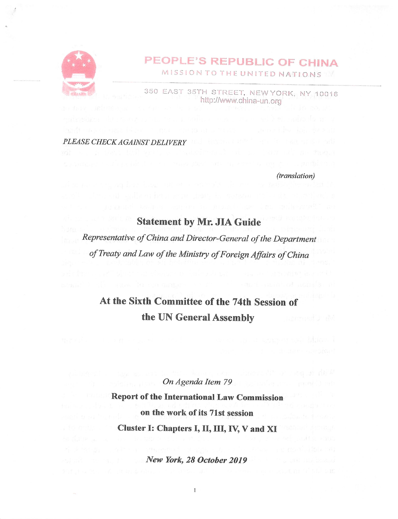

# PEOPLE'S REPUBLIC OF CHINA

MiSSiON TO THE UNITED NATIONS

350 EAST 35TH STREET, NEW YORK, NY 10016 http ://www. china-un.org

PLEASE CHECK AGAINST DELIVERY

(translation)

### Statement by Mr. JIA Guide

Representative of China and Director-General of the Department of Treaty and Law of the Ministry of Foreign Affairs of China

## At the Sixth Committee of the 74th Session of the UN General Assembly

#### On Agenda Item 79

Report of the International Law Commission on the work of its 71st session Cluster I: Chapters I, II, III, IV, V and XI

New York, 28 October 2019

 $\mathbf{1}$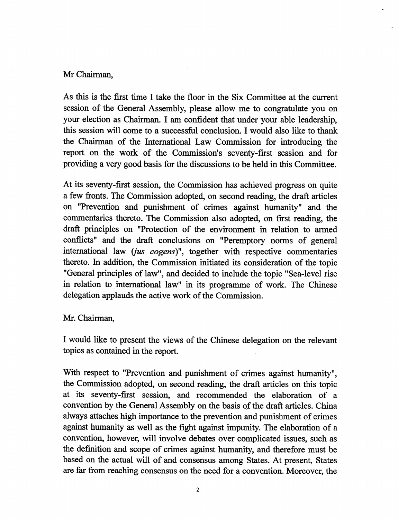### Mr Chairman,

As this is the first time I take the floor in the Six Committee at the current session of the General Assembly, please allow me to congratulate you on your election as Chairman. I am confident that under your able leadership, this session will come to a successful conclusion. I would also like to thank the Chairman of the International Law Commission for introducing the report on the work of the Commission's seventy-first session and for providing a very good basis for the discussions to be held in this Committee.

At its seventy-first session, the Commission has achieved progress on quite a few fronts. The Commission adopted, on second reading, the draft articles on "Prevention and punishment of crimes against humanity" and the commentaries thereto. The Commission also adopted, on first reading, the draft principles on "Protection of the environment in relation to armed conflicts" and the draft conclusions on "Peremptory norms of general international law (jus cogens)", together with respective commentaries thereto. In addition, the Commission initiated its consideration of the topic "General principles of law", and decided to include the topic "Sea-level rise in relation to international law" in its programme of work. The Chinese delegation applauds the active work of the Commission.

#### Mr. Chairman,

I would like to present the views of the Chinese delegation on the relevant topics as contained in the report.

With respect to "Prevention and punishment of crimes against humanity", the Commission adopted, on second reading, the draft articles on this topic at its seventy-first session, and recommended the elaboration of a convention by the General Assembly on the basis of the draft articles. China always attaches high importance to the prevention and punishment of crimes against humanity as well as the fight against impunity. The elaboration of a convention, however, will involve debates over complicated issues, such as the definition and scope of crimes against humanity, and therefore must be based on the actual will of and consensus among States. At present. States are far from reaching consensus on the need for a convention. Moreover, the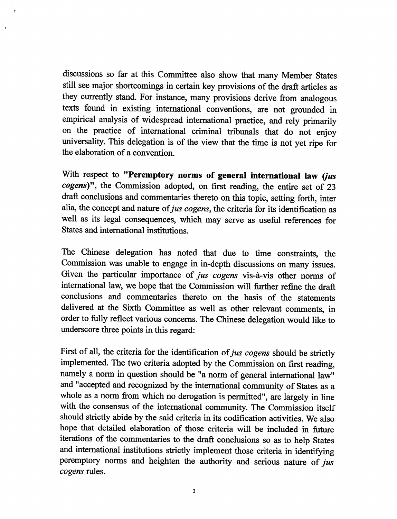discussions so far at this Committee also show that many Member States still see major shortcomings in certain key provisions of the draft articles as they currently stand. For instance, many provisions derive from analogous texts found in existing international conventions, are not grounded in empirical analysis of widespread international practice, and rely primarily on the practice of international criminal tribunals that do not enjoy universality. This delegation is of the view that the time is not yet ripe for the elaboration of a convention.

With respect to "Peremptory norms of general international law (jus cogens)", the Commission adopted, on first reading, the entire set of 23 draft conclusions and commentaries thereto on this topic, setting forth, inter alia, the concept and nature of jus cogens, the criteria for its identification as well as its legal consequences, which may serve as useful references for States and international institutions.

The Chinese delegation has noted that due to time constraints, the Commission was unable to engage in in-depth discussions on many issues. Given the particular importance of jus cogens vis-à-vis other norms of international law, we hope that the Commission will further refine the draft conclusions and commentaries thereto on the basis of the statements delivered at the Sixth Committee as well as other relevant comments, in order to fiilly reflect various concerns. The Chinese delegation would like to underscore three points in this regard:

First of all, the criteria for the identification of jus cogens should be strictly implemented. The two criteria adopted by the Commission on first reading, namely a norm in question should be "a norm of general international law" and "accepted and recognized by the international community of States as a whole as a norm from which no derogation is permitted", are largely in line with the consensus of the international community. The Commission itself should strictly abide by the said criteria in its codification activities. We also hope that detailed elaboration of those criteria will be included in future iterations of the commentaries to the draft conclusions so as to help States and international institutions strictly implement those criteria in identifying peremptory norms and heighten the authority and serious nature of  $jus$ cogens rules.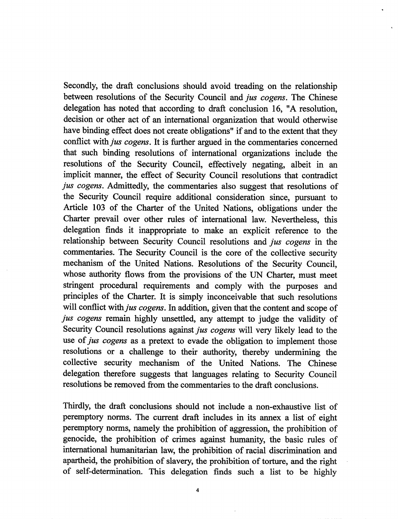Secondly, the draft conclusions should avoid treading on the relationship between resolutions of the Security Council and jus cogens. The Chinese delegation has noted that according to draft conclusion 16, "A resolution, decision or other act of an international organization that would otherwise have binding effect does not create obligations" if and to the extent that they conflict with *jus cogens*. It is further argued in the commentaries concerned that such binding resolutions of international organizations include the resolutions of the Security Council, effectively negating, albeit in an implicit manner, the effect of Security Council resolutions that contradict jus cogens. Admittedly, the commentaries also suggest that resolutions of the Security Council require additional consideration since, pursuant to Article 103 of the Charter of the United Nations, obligations under the Charter prevail over other rules of international law. Nevertheless, this delegation finds it inappropriate to make an explicit reference to the relationship between Security Council resolutions and jus cogens in the commentaries. The Security Council is the core of the collective security mechanism of the United Nations. Resolutions of the Security Council, whose authority flows from the provisions of the UN Charter, must meet stringent procedural requirements and comply with the purposes and principles of the Charter. It is simply inconceivable that such resolutions will conflict with *jus cogens*. In addition, given that the content and scope of jus cogens remain highly unsettled, any attempt to judge the validity of Security Council resolutions against *jus cogens* will very likely lead to the use of *jus cogens* as a pretext to evade the obligation to implement those resolutions or a challenge to their authority, thereby undermining the collective security mechanism of the United Nations. The Chinese delegation therefore suggests that languages relating to Security Council resolutions be removed from the commentaries to the draft conclusions.

Thirdly, the draft conclusions should not include a non-exhaustive list of peremptory norms. The current draft includes in its annex a list of eight peremptory norms, namely the prohibition of aggression, the prohibition of genocide, the prohibition of crimes against humanity, the basic rules of international humanitarian law, the prohibition of racial discrimination and apartheid, the prohibition of slavery, the prohibition of torture, and the right of self-determination. This delegation finds such a list to be highly

 $\overline{\mathbf{4}}$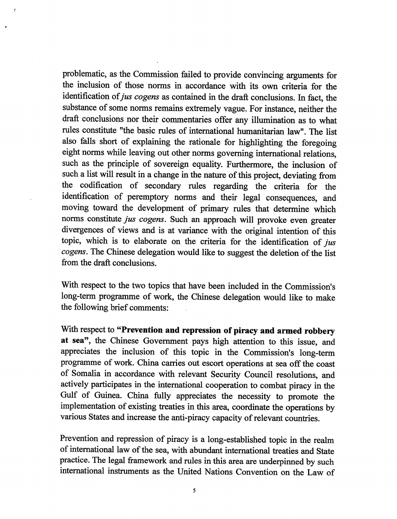problematic, as the Commission failed to provide convincing arguments for the inclusion of those norms in accordance with its own criteria for the identification of jus cogens as contained in the draft conclusions. In fact, the substance of some norms remains extremely vague. For instance, neither the draft conclusions nor their commentaries offer any illumination as to what rules constitute "the basic rules of international humanitarian law". The list also falls short of explaining the rationale for highlighting the foregoing eight norms while leaving out other norms governing international relations, such as the principle of sovereign equality. Furthermore, the inclusion of such a list will result in a change in the nature of this project, deviating from the codification of secondary rules regarding the criteria for the identification of peremptory norms and their legal consequences, and moving toward the development of primary rules that determine which norms constitute jus cogens. Such an approach will provoke even greater divergences of views and is at variance with the original intention of this topic, which is to elaborate on the criteria for the identification of  $jus$ cogens. The Chinese delegation would like to suggest the deletion of the list from the draft conclusions.

 $\overline{\cdot}$ 

With respect to the two topics that have been included in the Commission's long-term programme of work, the Chinese delegation would like to make the following brief comments:

With respect to "Prevention and repression of piracy and armed robbery at sea", the Chinese Government pays high attention to this issue, and appreciates the inclusion of this topic in the Commission's long-term programme of work. China carries out escort operations at sea off the coast of Somalia in accordance with relevant Security Council resolutions, and actively participates in the international cooperation to combat piracy in the Gulf of Guinea. China fully appreciates the necessity to promote the implementation of existing treaties in this area, coordinate the operations by various States and increase the anti-piracy capacity of relevant countries.

Prevention and repression of piracy is a long-established topic in the realm of international law of the sea, with abundant international treaties and State practice. The legal framework and rules in this area are underpinned by such international instruments as the United Nations Convention on the Law of